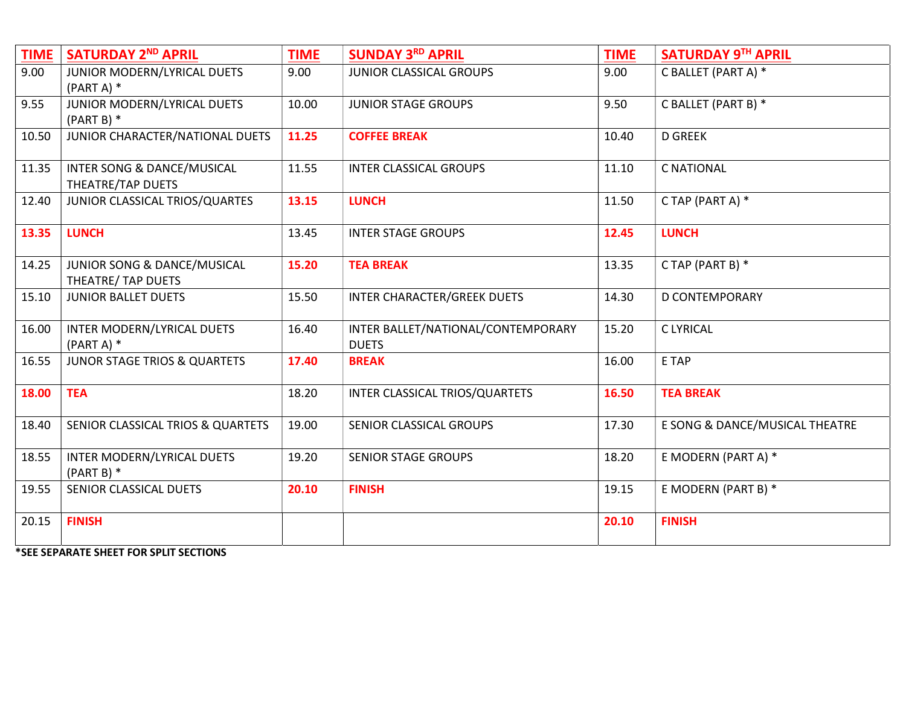| <b>TIME</b> | <b>SATURDAY 2ND APRIL</b>                         | <b>TIME</b> | <b>SUNDAY 3RD APRIL</b>                            | <b>TIME</b> | SATURDAY 9TH APRIL             |
|-------------|---------------------------------------------------|-------------|----------------------------------------------------|-------------|--------------------------------|
| 9.00        | JUNIOR MODERN/LYRICAL DUETS<br>$(PART A)$ *       | 9.00        | JUNIOR CLASSICAL GROUPS                            | 9.00        | C BALLET (PART A) *            |
| 9.55        | JUNIOR MODERN/LYRICAL DUETS<br>$(PART B)$ *       | 10.00       | <b>JUNIOR STAGE GROUPS</b>                         | 9.50        | C BALLET (PART B) *            |
| 10.50       | JUNIOR CHARACTER/NATIONAL DUETS                   | 11.25       | <b>COFFEE BREAK</b>                                | 10.40       | <b>D GREEK</b>                 |
| 11.35       | INTER SONG & DANCE/MUSICAL<br>THEATRE/TAP DUETS   | 11.55       | <b>INTER CLASSICAL GROUPS</b>                      | 11.10       | <b>C NATIONAL</b>              |
| 12.40       | JUNIOR CLASSICAL TRIOS/QUARTES                    | 13.15       | <b>LUNCH</b>                                       | 11.50       | C TAP (PART A) *               |
| 13.35       | <b>LUNCH</b>                                      | 13.45       | <b>INTER STAGE GROUPS</b>                          | 12.45       | <b>LUNCH</b>                   |
| 14.25       | JUNIOR SONG & DANCE/MUSICAL<br>THEATRE/ TAP DUETS | 15.20       | <b>TEA BREAK</b>                                   | 13.35       | C TAP (PART B) *               |
| 15.10       | <b>JUNIOR BALLET DUETS</b>                        | 15.50       | <b>INTER CHARACTER/GREEK DUETS</b>                 | 14.30       | <b>D CONTEMPORARY</b>          |
| 16.00       | INTER MODERN/LYRICAL DUETS<br>$(PART A)$ *        | 16.40       | INTER BALLET/NATIONAL/CONTEMPORARY<br><b>DUETS</b> | 15.20       | <b>CLYRICAL</b>                |
| 16.55       | JUNOR STAGE TRIOS & QUARTETS                      | 17.40       | <b>BREAK</b>                                       | 16.00       | E TAP                          |
| 18.00       | <b>TEA</b>                                        | 18.20       | INTER CLASSICAL TRIOS/QUARTETS                     | 16.50       | <b>TEA BREAK</b>               |
| 18.40       | SENIOR CLASSICAL TRIOS & QUARTETS                 | 19.00       | SENIOR CLASSICAL GROUPS                            | 17.30       | E SONG & DANCE/MUSICAL THEATRE |
| 18.55       | INTER MODERN/LYRICAL DUETS<br>$(PART B)$ *        | 19.20       | <b>SENIOR STAGE GROUPS</b>                         | 18.20       | E MODERN (PART A) *            |
| 19.55       | SENIOR CLASSICAL DUETS                            | 20.10       | <b>FINISH</b>                                      | 19.15       | E MODERN (PART B) *            |
| 20.15       | <b>FINISH</b>                                     |             |                                                    | 20.10       | <b>FINISH</b>                  |

\*SEE SEPARATE SHEET FOR SPLIT SECTIONS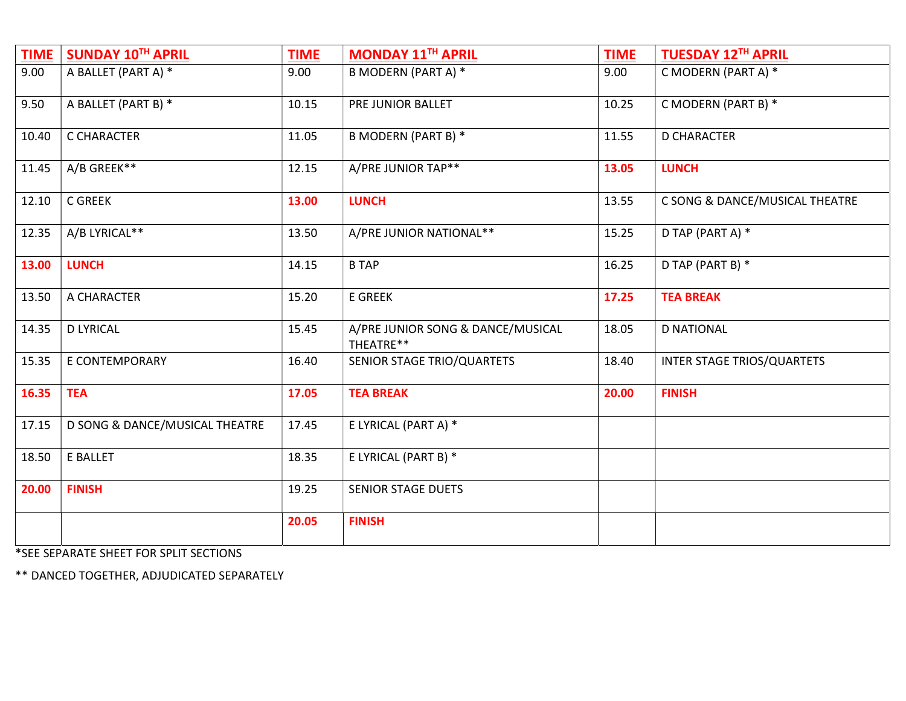| <b>TIME</b> | <b>SUNDAY 10TH APRIL</b>       | <b>TIME</b> | MONDAY 11TH APRIL                              | <b>TIME</b> | <b>TUESDAY 12TH APRIL</b>      |
|-------------|--------------------------------|-------------|------------------------------------------------|-------------|--------------------------------|
| 9.00        | A BALLET (PART A) *            | 9.00        | <b>B MODERN (PART A) *</b>                     | 9.00        | C MODERN (PART A) *            |
| 9.50        | A BALLET (PART B) *            | 10.15       | PRE JUNIOR BALLET                              | 10.25       | C MODERN (PART B) *            |
| 10.40       | C CHARACTER                    | 11.05       | <b>B MODERN (PART B) *</b>                     | 11.55       | <b>D CHARACTER</b>             |
| 11.45       | A/B GREEK**                    | 12.15       | A/PRE JUNIOR TAP**                             | 13.05       | <b>LUNCH</b>                   |
| 12.10       | C GREEK                        | 13.00       | <b>LUNCH</b>                                   | 13.55       | C SONG & DANCE/MUSICAL THEATRE |
| 12.35       | A/B LYRICAL**                  | 13.50       | A/PRE JUNIOR NATIONAL**                        | 15.25       | D TAP (PART A) *               |
| 13.00       | <b>LUNCH</b>                   | 14.15       | <b>B TAP</b>                                   | 16.25       | D TAP (PART B) *               |
| 13.50       | A CHARACTER                    | 15.20       | <b>E GREEK</b>                                 | 17.25       | <b>TEA BREAK</b>               |
| 14.35       | <b>D LYRICAL</b>               | 15.45       | A/PRE JUNIOR SONG & DANCE/MUSICAL<br>THEATRE** | 18.05       | <b>D NATIONAL</b>              |
| 15.35       | E CONTEMPORARY                 | 16.40       | SENIOR STAGE TRIO/QUARTETS                     | 18.40       | INTER STAGE TRIOS/QUARTETS     |
| 16.35       | <b>TEA</b>                     | 17.05       | <b>TEA BREAK</b>                               | 20.00       | <b>FINISH</b>                  |
| 17.15       | D SONG & DANCE/MUSICAL THEATRE | 17.45       | E LYRICAL (PART A) *                           |             |                                |
| 18.50       | E BALLET                       | 18.35       | E LYRICAL (PART B) *                           |             |                                |
| 20.00       | <b>FINISH</b>                  | 19.25       | <b>SENIOR STAGE DUETS</b>                      |             |                                |
|             |                                | 20.05       | <b>FINISH</b>                                  |             |                                |

\*SEE SEPARATE SHEET FOR SPLIT SECTIONS

\*\* DANCED TOGETHER, ADJUDICATED SEPARATELY